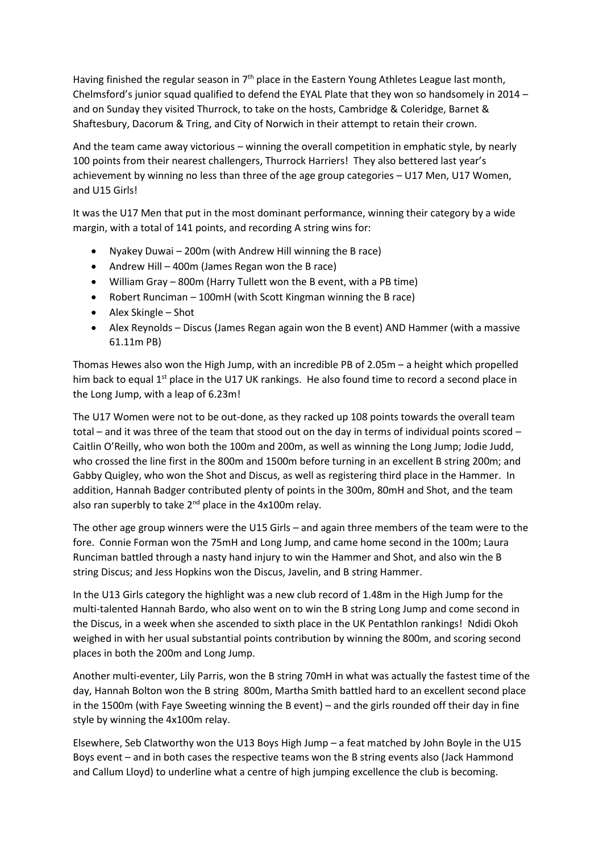Having finished the regular season in  $7<sup>th</sup>$  place in the Eastern Young Athletes League last month, Chelmsford's junior squad qualified to defend the EYAL Plate that they won so handsomely in 2014 – and on Sunday they visited Thurrock, to take on the hosts, Cambridge & Coleridge, Barnet & Shaftesbury, Dacorum & Tring, and City of Norwich in their attempt to retain their crown.

And the team came away victorious – winning the overall competition in emphatic style, by nearly 100 points from their nearest challengers, Thurrock Harriers! They also bettered last year's achievement by winning no less than three of the age group categories – U17 Men, U17 Women, and U15 Girls!

It was the U17 Men that put in the most dominant performance, winning their category by a wide margin, with a total of 141 points, and recording A string wins for:

- Nyakey Duwai 200m (with Andrew Hill winning the B race)
- Andrew Hill 400m (James Regan won the B race)
- William Gray 800m (Harry Tullett won the B event, with a PB time)
- Robert Runciman 100mH (with Scott Kingman winning the B race)
- Alex Skingle Shot
- Alex Reynolds Discus (James Regan again won the B event) AND Hammer (with a massive 61.11m PB)

Thomas Hewes also won the High Jump, with an incredible PB of 2.05m – a height which propelled him back to equal 1<sup>st</sup> place in the U17 UK rankings. He also found time to record a second place in the Long Jump, with a leap of 6.23m!

The U17 Women were not to be out-done, as they racked up 108 points towards the overall team total – and it was three of the team that stood out on the day in terms of individual points scored – Caitlin O'Reilly, who won both the 100m and 200m, as well as winning the Long Jump; Jodie Judd, who crossed the line first in the 800m and 1500m before turning in an excellent B string 200m; and Gabby Quigley, who won the Shot and Discus, as well as registering third place in the Hammer. In addition, Hannah Badger contributed plenty of points in the 300m, 80mH and Shot, and the team also ran superbly to take  $2^{nd}$  place in the 4x100m relay.

The other age group winners were the U15 Girls – and again three members of the team were to the fore. Connie Forman won the 75mH and Long Jump, and came home second in the 100m; Laura Runciman battled through a nasty hand injury to win the Hammer and Shot, and also win the B string Discus; and Jess Hopkins won the Discus, Javelin, and B string Hammer.

In the U13 Girls category the highlight was a new club record of 1.48m in the High Jump for the multi-talented Hannah Bardo, who also went on to win the B string Long Jump and come second in the Discus, in a week when she ascended to sixth place in the UK Pentathlon rankings! Ndidi Okoh weighed in with her usual substantial points contribution by winning the 800m, and scoring second places in both the 200m and Long Jump.

Another multi-eventer, Lily Parris, won the B string 70mH in what was actually the fastest time of the day, Hannah Bolton won the B string 800m, Martha Smith battled hard to an excellent second place in the 1500m (with Faye Sweeting winning the B event) – and the girls rounded off their day in fine style by winning the 4x100m relay.

Elsewhere, Seb Clatworthy won the U13 Boys High Jump – a feat matched by John Boyle in the U15 Boys event – and in both cases the respective teams won the B string events also (Jack Hammond and Callum Lloyd) to underline what a centre of high jumping excellence the club is becoming.